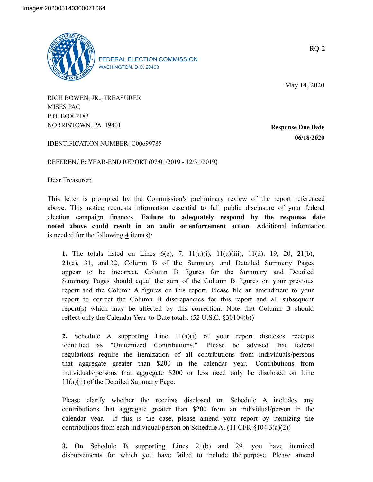

FEDERAL ELECTION COMMISSION WASHINGTON, D.C. 20463

May 14, 2020

RICH BOWEN, JR., TREASURER MISES PAC P.O. BOX 2183 NORRISTOWN, PA 19401

**Response Due Date 06/18/2020**

IDENTIFICATION NUMBER: C00699785

REFERENCE: YEAR-END REPORT (07/01/2019 - 12/31/2019)

Dear Treasurer:

This letter is prompted by the Commission's preliminary review of the report referenced above. This notice requests information essential to full public disclosure of your federal election campaign finances. **Failure to adequately respond by the response date noted above could result in an audit or enforcement action**. Additional information is needed for the following **4** item(s):

**1.** The totals listed on Lines 6(c), 7, 11(a)(i), 11(a)(iii), 11(d), 19, 20, 21(b), 21(c), 31, and 32, Column B of the Summary and Detailed Summary Pages appear to be incorrect. Column B figures for the Summary and Detailed Summary Pages should equal the sum of the Column B figures on your previous report and the Column A figures on this report. Please file an amendment to your report to correct the Column B discrepancies for this report and all subsequent report(s) which may be affected by this correction. Note that Column B should reflect only the Calendar Year-to-Date totals. (52 U.S.C. §30104(b))

**2.** Schedule A supporting Line 11(a)(i) of your report discloses receipts identified as "Unitemized Contributions." Please be advised that federal regulations require the itemization of all contributions from individuals/persons that aggregate greater than \$200 in the calendar year. Contributions from individuals/persons that aggregate \$200 or less need only be disclosed on Line 11(a)(ii) of the Detailed Summary Page.

Please clarify whether the receipts disclosed on Schedule A includes any contributions that aggregate greater than \$200 from an individual/person in the calendar year. If this is the case, please amend your report by itemizing the contributions from each individual/person on Schedule A. (11 CFR §104.3(a)(2))

**3.** On Schedule B supporting Lines 21(b) and 29, you have itemized disbursements for which you have failed to include the purpose. Please amend